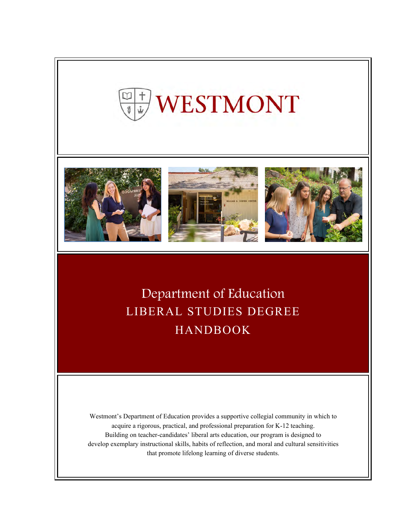







Department of Education LIBERAL STUDIES DEGREE HANDBOOK

Westmont's Department of Education provides a supportive collegial community in which to acquire a rigorous, practical, and professional preparation for K-12 teaching. Building on teacher-candidates' liberal arts education, our program is designed to develop exemplary instructional skills, habits of reflection, and moral and cultural sensitivities that promote lifelong learning of diverse students.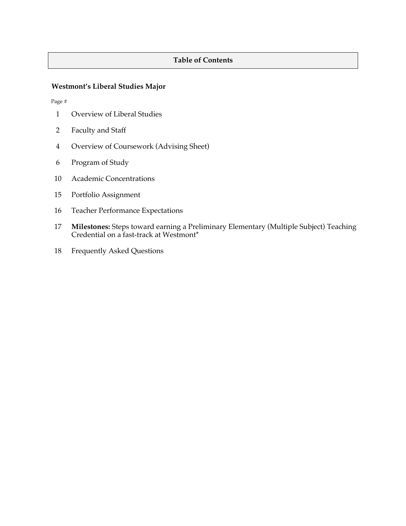# **Table of Contents**

# **Westmont's Liberal Studies Major**

Page #

- 1 Overview of Liberal Studies
- 2 Faculty and Staff
- 4 Overview of Coursework (Advising Sheet)
- 6 Program of Study
- 10 Academic Concentrations
- 15 Portfolio Assignment
- 16 Teacher Performance Expectations
- 17 **Milestones:** Steps toward earning a Preliminary Elementary (Multiple Subject) Teaching Credential on a fast-track at Westmont\*
- 18 Frequently Asked Questions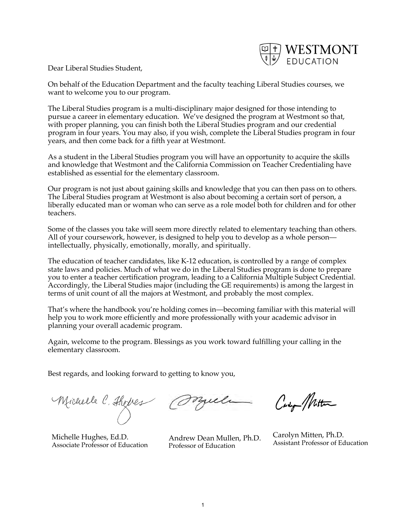

Dear Liberal Studies Student,

On behalf of the Education Department and the faculty teaching Liberal Studies courses, we want to welcome you to our program.

The Liberal Studies program is a multi-disciplinary major designed for those intending to pursue a career in elementary education. We've designed the program at Westmont so that, with proper planning, you can finish both the Liberal Studies program and our credential program in four years. You may also, if you wish, complete the Liberal Studies program in four years, and then come back for a fifth year at Westmont.

As a student in the Liberal Studies program you will have an opportunity to acquire the skills and knowledge that Westmont and the California Commission on Teacher Credentialing have established as essential for the elementary classroom.

Our program is not just about gaining skills and knowledge that you can then pass on to others. The Liberal Studies program at Westmont is also about becoming a certain sort of person, a liberally educated man or woman who can serve as a role model both for children and for other teachers.

Some of the classes you take will seem more directly related to elementary teaching than others. All of your coursework, however, is designed to help you to develop as a whole person intellectually, physically, emotionally, morally, and spiritually.

The education of teacher candidates, like K-12 education, is controlled by a range of complex state laws and policies. Much of what we do in the Liberal Studies program is done to prepare you to enter a teacher certification program, leading to a California Multiple Subject Credential. Accordingly, the Liberal Studies major (including the GE requirements) is among the largest in terms of unit count of all the majors at Westmont, and probably the most complex.

That's where the handbook you're holding comes in—becoming familiar with this material will help you to work more efficiently and more professionally with your academic advisor in planning your overall academic program.

Again, welcome to the program. Blessings as you work toward fulfilling your calling in the elementary classroom.

Best regards, and looking forward to getting to know you,

Michelle C. Thomes

Michelle Hughes, Ed.D. Associate Professor of Education

Orgula

Andrew Dean Mullen, Ph.D. Professor of Education

Carly Mitten

Carolyn Mitten, Ph.D. Assistant Professor of Education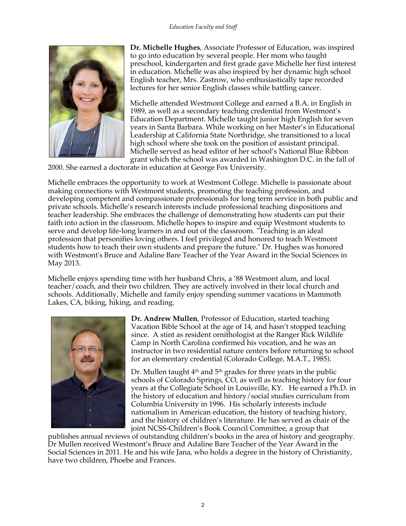

**Dr. Michelle Hughes**, Associate Professor of Education, was inspired to go into education by several people. Her mom who taught preschool, kindergarten and first grade gave Michelle her first interest in education. Michelle was also inspired by her dynamic high school English teacher, Mrs. Zastrow, who enthusiastically tape recorded lectures for her senior English classes while battling cancer.

Michelle attended Westmont College and earned a B.A. in English in 1989, as well as a secondary teaching credential from Westmont's Education Department. Michelle taught junior high English for seven years in Santa Barbara. While working on her Master's in Educational Leadership at California State Northridge, she transitioned to a local high school where she took on the position of assistant principal. Michelle served as head editor of her school's National Blue Ribbon grant which the school was awarded in Washington D.C. in the fall of

2000. She earned a doctorate in education at George Fox University.

Michelle embraces the opportunity to work at Westmont College. Michelle is passionate about making connections with Westmont students, promoting the teaching profession, and developing competent and compassionate professionals for long term service in both public and private schools. Michelle's research interests include professional teaching dispositions and teacher leadership. She embraces the challenge of demonstrating how students can put their faith into action in the classroom. Michelle hopes to inspire and equip Westmont students to serve and develop life-long learners in and out of the classroom. "Teaching is an ideal profession that personifies loving others. I feel privileged and honored to teach Westmont students how to teach their own students and prepare the future." Dr. Hughes was honored with Westmont's Bruce and Adaline Bare Teacher of the Year Award in the Social Sciences in May 2013.

Michelle enjoys spending time with her husband Chris, a '88 Westmont alum, and local teacher/coach, and their two children. They are actively involved in their local church and schools. Additionally, Michelle and family enjoy spending summer vacations in Mammoth Lakes, CA, biking, hiking, and reading.



**Dr. Andrew Mullen**, Professor of Education, started teaching Vacation Bible School at the age of 14, and hasn't stopped teaching since. A stint as resident ornithologist at the Ranger Rick Wildlife Camp in North Carolina confirmed his vocation, and he was an instructor in two residential nature centers before returning to school for an elementary credential (Colorado College, M.A.T., 1985).

Dr. Mullen taught  $4<sup>th</sup>$  and  $5<sup>th</sup>$  grades for three years in the public schools of Colorado Springs, CO, as well as teaching history for four years at the Collegiate School in Louisville, KY. He earned a Ph.D. in the history of education and history/social studies curriculum from Columbia University in 1996. His scholarly interests include nationalism in American education, the history of teaching history, and the history of children's literature. He has served as chair of the joint NCSS-Children's Book Council Committee, a group that

publishes annual reviews of outstanding children's books in the area of history and geography. Dr Mullen received Westmont's Bruce and Adaline Bare Teacher of the Year Award in the Social Sciences in 2011. He and his wife Jana, who holds a degree in the history of Christianity, have two children, Phoebe and Frances.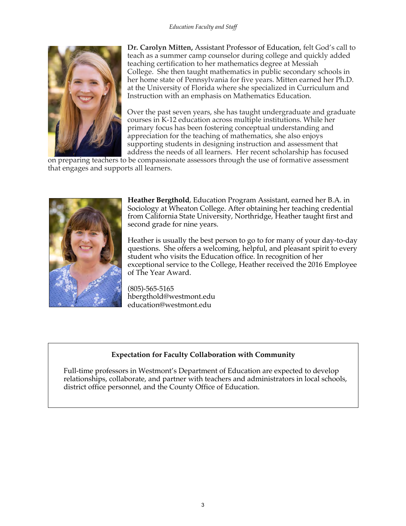

**Dr. Carolyn Mitten,** Assistant Professor of Education, felt God's call to teach as a summer camp counselor during college and quickly added teaching certification to her mathematics degree at Messiah College. She then taught mathematics in public secondary schools in her home state of Pennsylvania for five years. Mitten earned her Ph.D. at the University of Florida where she specialized in Curriculum and Instruction with an emphasis on Mathematics Education.

Over the past seven years, she has taught undergraduate and graduate courses in K-12 education across multiple institutions. While her primary focus has been fostering conceptual understanding and appreciation for the teaching of mathematics, she also enjoys supporting students in designing instruction and assessment that address the needs of all learners. Her recent scholarship has focused

on preparing teachers to be compassionate assessors through the use of formative assessment that engages and supports all learners.



**Heather Bergthold**, Education Program Assistant, earned her B.A. in Sociology at Wheaton College. After obtaining her teaching credential from California State University, Northridge, Heather taught first and second grade for nine years.

Heather is usually the best person to go to for many of your day-to-day questions. She offers a welcoming, helpful, and pleasant spirit to every student who visits the Education office. In recognition of her exceptional service to the College, Heather received the 2016 Employee of The Year Award.

(805)-565-5165 hbergthold@westmont.edu education@westmont.edu

# **Expectation for Faculty Collaboration with Community**

Full-time professors in Westmont's Department of Education are expected to develop relationships, collaborate, and partner with teachers and administrators in local schools, district office personnel, and the County Office of Education.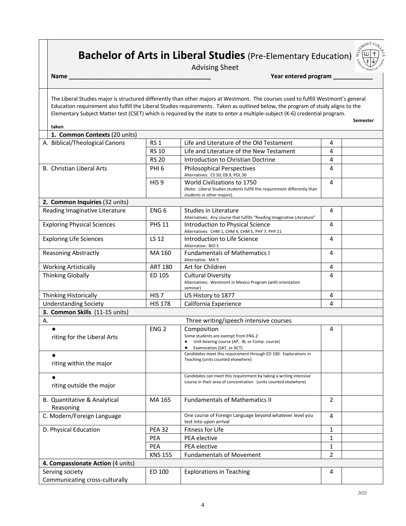# **Bachelor of Arts in Liberal Studies** (Pre-Elementary Education)

Advising Sheet

**Name \_\_\_\_\_\_\_\_\_\_\_\_\_\_\_\_\_\_\_\_\_\_\_\_\_\_\_\_\_\_\_\_\_\_\_\_\_\_\_\_\_\_\_ Year entered program \_\_\_\_\_\_\_\_\_\_\_\_**

The Liberal Studies major is structured differently than other majors at Westmont. The courses used to fulfill Westmont's general Education requirement also fulfill the Liberal Studies requirements. Taken as outlined below, the program of study aligns to the Elementary Subject Matter test (CSET) which is required by the state to enter a multiple-subject (K-6) credential program.

**Semester Semester Semester** 

**LONT** 

| r<br>аке<br>י |
|---------------|

| 1. Common Contexts (20 units)                     |                  |                                                                                                                                       |                |  |
|---------------------------------------------------|------------------|---------------------------------------------------------------------------------------------------------------------------------------|----------------|--|
| A. Biblical/Theological Canons                    | <b>RS 1</b>      | Life and Literature of the Old Testament                                                                                              | 4              |  |
|                                                   | <b>RS 10</b>     | Life and Literature of the New Testament                                                                                              | 4              |  |
|                                                   | <b>RS 20</b>     | Introduction to Christian Doctrine                                                                                                    | 4              |  |
| B. Christian Liberal Arts                         | PHI <sub>6</sub> | <b>Philosophical Perspectives</b><br>Alternatives: CS 50, EB 9, POL 30                                                                | 4              |  |
|                                                   | HIS <sub>9</sub> | World Civilizations to 1750                                                                                                           | 4              |  |
|                                                   |                  | (Note: Liberal Studies students fulfill this requirement differently than                                                             |                |  |
| 2. Common Inquiries (32 units)                    |                  | students in other majors).                                                                                                            |                |  |
| Reading Imaginative Literature                    | ENG <sub>6</sub> | <b>Studies in Literature</b>                                                                                                          | 4              |  |
|                                                   |                  | Alternatives: Any course that fulfills "Reading Imaginative Literature"                                                               |                |  |
| <b>Exploring Physical Sciences</b>                | <b>PHS 11</b>    | Introduction to Physical Science<br>Alternatives: CHM 1, CHM 4, CHM 5, PHY 7, PHY 21                                                  | 4              |  |
| <b>Exploring Life Sciences</b>                    | LS 12            | Introduction to Life Science                                                                                                          | 4              |  |
|                                                   |                  | Alternative: BIO 5                                                                                                                    |                |  |
| <b>Reasoning Abstractly</b>                       | MA 160           | <b>Fundamentals of Mathematics I</b><br>Alternative: MA 9                                                                             | 4              |  |
| <b>Working Artistically</b>                       | <b>ART 180</b>   | Art for Children                                                                                                                      | 4              |  |
| <b>Thinking Globally</b>                          | ED 105           | <b>Cultural Diversity</b>                                                                                                             | 4              |  |
|                                                   |                  | Alternatives: Westmont in Mexico Program (with orientation<br>seminar)                                                                |                |  |
| Thinking Historically                             | HIS <sub>7</sub> | US History to 1877                                                                                                                    | 4              |  |
| <b>Understanding Society</b>                      | <b>HIS 178</b>   | California Experience                                                                                                                 | 4              |  |
|                                                   |                  |                                                                                                                                       |                |  |
| 3. Common Skills (11-15 units)                    |                  |                                                                                                                                       |                |  |
| А.                                                |                  | Three writing/speech intensive courses                                                                                                |                |  |
|                                                   | ENG <sub>2</sub> | Composition                                                                                                                           | 4              |  |
| riting for the Liberal Arts                       |                  | Some students are exempt from ENG 2:                                                                                                  |                |  |
|                                                   |                  | Unit-bearing course (AP, IB, or Comp. course)<br>Examination (SAT, or ACT)                                                            |                |  |
| $\bullet$                                         |                  | Candidates meet this requirement through ED 100: Explorations in                                                                      |                |  |
| riting within the major                           |                  | Teaching (units counted elsewhere)                                                                                                    |                |  |
|                                                   |                  |                                                                                                                                       |                |  |
| $\bullet$                                         |                  | Candidates can meet this requirement by taking a writing intensive<br>course in their area of concentration (units counted elsewhere) |                |  |
| riting outside the major                          |                  |                                                                                                                                       |                |  |
| B. Quantitative & Analytical                      | MA 165           | <b>Fundamentals of Mathematics II</b>                                                                                                 | $\overline{2}$ |  |
| Reasoning                                         |                  |                                                                                                                                       |                |  |
| C. Modern/Foreign Language                        |                  | One course of Foreign Language beyond whatever level you                                                                              | 4              |  |
| D. Physical Education                             | PEA 32           | test into upon arrival<br>Fitness for Life                                                                                            | 1              |  |
|                                                   | PEA              | PEA elective                                                                                                                          | $\mathbf{1}$   |  |
|                                                   | PEA              | PEA elective                                                                                                                          | 1              |  |
|                                                   | <b>KNS 155</b>   | <b>Fundamentals of Movement</b>                                                                                                       | $\overline{2}$ |  |
| 4. Compassionate Action (4 units)                 |                  |                                                                                                                                       |                |  |
| Serving society<br>Communicating cross-culturally | ED 100           | <b>Explorations in Teaching</b>                                                                                                       | 4              |  |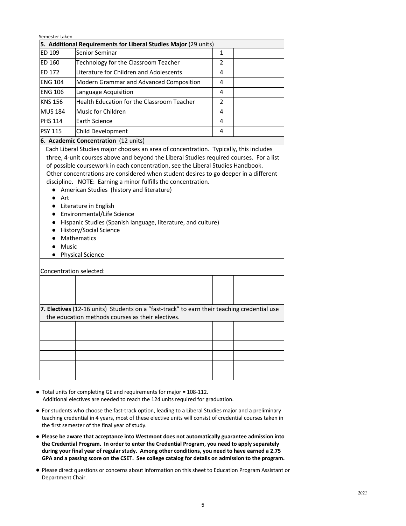- Total units for completing GE and requirements for major = 108-112. Additional electives are needed to reach the 124 units required for graduation.
- For students who choose the fast-track option, leading to a Liberal Studies major and a preliminary teaching credential in 4 years, most of these elective units will consist of credential courses taken in the first semester of the final year of study.
- **Please be aware that acceptance into Westmont does not automatically guarantee admission into the Credential Program. In order to enter the Credential Program, you need to apply separately during your final year of regular study. Among other conditions, you need to have earned a 2.75 GPA and a passing score on the CSET. See college catalog for details on admission to the program.**
- Please direct questions or concerns about information on this sheet to Education Program Assistant or Department Chair.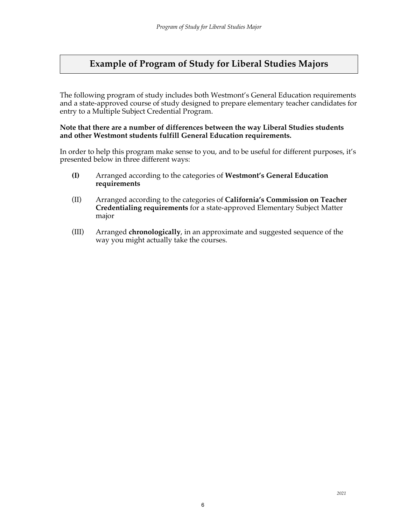# **Example of Program of Study for Liberal Studies Majors**

The following program of study includes both Westmont's General Education requirements and a state-approved course of study designed to prepare elementary teacher candidates for entry to a Multiple Subject Credential Program.

#### **Note that there are a number of differences between the way Liberal Studies students and other Westmont students fulfill General Education requirements.**

In order to help this program make sense to you, and to be useful for different purposes, it's presented below in three different ways:

- **(I)** Arranged according to the categories of **Westmont's General Education requirements**
- (II) Arranged according to the categories of **California's Commission on Teacher Credentialing requirements** for a state-approved Elementary Subject Matter major
- (III) Arranged **chronologically**, in an approximate and suggested sequence of the way you might actually take the courses.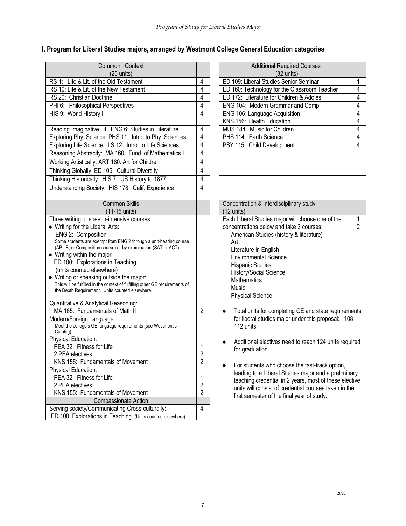# **I. Program for Liberal Studies majors, arranged by Westmont College General Education categories**

| $(20 \text{ units})$<br>$(32 \text{ units})$<br>RS 1: Life & Lit. of the Old Testament<br>ED 109: Liberal Studies Senior Seminar<br>4<br>4<br>RS 10: Life & Lit. of the New Testament<br>4<br>ED 160: Technology for the Classroom Teacher<br>4<br>$\overline{4}$<br>ED 172: Literature for Children & Adoles.<br>RS 20: Christian Doctrine<br>4<br>4<br>ENG 104: Modern Grammar and Comp.<br>PHI 6: Philosophical Perspectives<br>$\overline{4}$<br>4<br>HIS 9: World History I<br>ENG 106: Language Acquisition<br>KNS 156: Health Education<br>4<br>4<br>4<br>MUS 184: Music for Children<br>Reading Imaginative Lit: ENG 6: Studies in Literature<br>$\overline{4}$<br>4<br>Exploring Phy. Science: PHS 11: Intro. to Phy. Sciences<br>PHS 114: Earth Science<br>$\overline{4}$<br>4<br>Exploring Life Science: LS 12: Intro. to Life Sciences<br>PSY 115: Child Development<br>Reasoning Abstractly: MA 160: Fund. of Mathematics I<br>$\overline{4}$<br>Working Artistically: ART 180: Art for Children<br>4<br>$\overline{4}$<br>Thinking Globally: ED 105: Cultural Diversity<br>Thinking Historically: HIS 7: US History to 1877<br>4<br>Understanding Society: HIS 178: Calif. Experience<br>4<br><b>Common Skills</b><br>Concentration & Interdisciplinary study<br>(11-15 units)<br>$(12 \text{ units})$<br>Each Liberal Studies major will choose one of the<br>Three writing or speech-intensive courses<br>$\overline{2}$<br>• Writing for the Liberal Arts:<br>concentrations below and take 3 courses:<br>ENG 2: Composition<br>American Studies (history & literature)<br>Some students are exempt from ENG 2 through a unit-bearing course<br>Art<br>(AP, IB, or Composition course) or by examination (SAT or ACT)<br>Literature in English<br>• Writing within the major:<br><b>Environmental Science</b><br>ED 100: Explorations in Teaching<br><b>Hispanic Studies</b><br>(units counted elsewhere)<br>History/Social Science<br>• Writing or speaking outside the major:<br><b>Mathematics</b><br>This will be fulfilled in the context of fulfilling other GE requirements of<br>Music<br>the Depth Requirement. Units counted elsewhere.<br><b>Physical Science</b><br>Quantitative & Analytical Reasoning:<br>2<br>MA 165: Fundamentals of Math II<br>Total units for completing GE and state requirements<br>$\bullet$<br>for liberal studies major under this proposal: 108-<br>Modern/Foreign Language<br>Meet the college's GE language requirements (see Westmont's<br>112 units<br>Catalog)<br>Physical Education:<br>Additional electives need to reach 124 units required<br>PEA 32: Fitness for Life<br>for graduation.<br>$\overline{2}$<br>2 PEA electives<br>$\overline{2}$<br>KNS 155: Fundamentals of Movement<br>For students who choose the fast-track option,<br>$\bullet$<br>Physical Education:<br>leading to a Liberal Studies major and a preliminary<br>PEA 32: Fitness for Life<br>1<br>teaching credential in 2 years, most of these elective<br>2 PEA electives<br>2<br>units will consist of credential courses taken in the<br>$\overline{2}$<br>KNS 155: Fundamentals of Movement<br>first semester of the final year of study.<br><b>Compassionate Action</b><br>Serving society/Communicating Cross-culturally:<br>$\overline{4}$ |                                                            |                                    |  |
|--------------------------------------------------------------------------------------------------------------------------------------------------------------------------------------------------------------------------------------------------------------------------------------------------------------------------------------------------------------------------------------------------------------------------------------------------------------------------------------------------------------------------------------------------------------------------------------------------------------------------------------------------------------------------------------------------------------------------------------------------------------------------------------------------------------------------------------------------------------------------------------------------------------------------------------------------------------------------------------------------------------------------------------------------------------------------------------------------------------------------------------------------------------------------------------------------------------------------------------------------------------------------------------------------------------------------------------------------------------------------------------------------------------------------------------------------------------------------------------------------------------------------------------------------------------------------------------------------------------------------------------------------------------------------------------------------------------------------------------------------------------------------------------------------------------------------------------------------------------------------------------------------------------------------------------------------------------------------------------------------------------------------------------------------------------------------------------------------------------------------------------------------------------------------------------------------------------------------------------------------------------------------------------------------------------------------------------------------------------------------------------------------------------------------------------------------------------------------------------------------------------------------------------------------------------------------------------------------------------------------------------------------------------------------------------------------------------------------------------------------------------------------------------------------------------------------------------------------------------------------------------------------------------------------------------------------------------------------------------------------------------------------------------------------------------------------------------------------------------------------------------------------------------------------------------------------------------------------------------------------------------------------------------------|------------------------------------------------------------|------------------------------------|--|
|                                                                                                                                                                                                                                                                                                                                                                                                                                                                                                                                                                                                                                                                                                                                                                                                                                                                                                                                                                                                                                                                                                                                                                                                                                                                                                                                                                                                                                                                                                                                                                                                                                                                                                                                                                                                                                                                                                                                                                                                                                                                                                                                                                                                                                                                                                                                                                                                                                                                                                                                                                                                                                                                                                                                                                                                                                                                                                                                                                                                                                                                                                                                                                                                                                                                                            | Common Context                                             | <b>Additional Required Courses</b> |  |
|                                                                                                                                                                                                                                                                                                                                                                                                                                                                                                                                                                                                                                                                                                                                                                                                                                                                                                                                                                                                                                                                                                                                                                                                                                                                                                                                                                                                                                                                                                                                                                                                                                                                                                                                                                                                                                                                                                                                                                                                                                                                                                                                                                                                                                                                                                                                                                                                                                                                                                                                                                                                                                                                                                                                                                                                                                                                                                                                                                                                                                                                                                                                                                                                                                                                                            |                                                            |                                    |  |
|                                                                                                                                                                                                                                                                                                                                                                                                                                                                                                                                                                                                                                                                                                                                                                                                                                                                                                                                                                                                                                                                                                                                                                                                                                                                                                                                                                                                                                                                                                                                                                                                                                                                                                                                                                                                                                                                                                                                                                                                                                                                                                                                                                                                                                                                                                                                                                                                                                                                                                                                                                                                                                                                                                                                                                                                                                                                                                                                                                                                                                                                                                                                                                                                                                                                                            |                                                            |                                    |  |
|                                                                                                                                                                                                                                                                                                                                                                                                                                                                                                                                                                                                                                                                                                                                                                                                                                                                                                                                                                                                                                                                                                                                                                                                                                                                                                                                                                                                                                                                                                                                                                                                                                                                                                                                                                                                                                                                                                                                                                                                                                                                                                                                                                                                                                                                                                                                                                                                                                                                                                                                                                                                                                                                                                                                                                                                                                                                                                                                                                                                                                                                                                                                                                                                                                                                                            |                                                            |                                    |  |
|                                                                                                                                                                                                                                                                                                                                                                                                                                                                                                                                                                                                                                                                                                                                                                                                                                                                                                                                                                                                                                                                                                                                                                                                                                                                                                                                                                                                                                                                                                                                                                                                                                                                                                                                                                                                                                                                                                                                                                                                                                                                                                                                                                                                                                                                                                                                                                                                                                                                                                                                                                                                                                                                                                                                                                                                                                                                                                                                                                                                                                                                                                                                                                                                                                                                                            |                                                            |                                    |  |
|                                                                                                                                                                                                                                                                                                                                                                                                                                                                                                                                                                                                                                                                                                                                                                                                                                                                                                                                                                                                                                                                                                                                                                                                                                                                                                                                                                                                                                                                                                                                                                                                                                                                                                                                                                                                                                                                                                                                                                                                                                                                                                                                                                                                                                                                                                                                                                                                                                                                                                                                                                                                                                                                                                                                                                                                                                                                                                                                                                                                                                                                                                                                                                                                                                                                                            |                                                            |                                    |  |
|                                                                                                                                                                                                                                                                                                                                                                                                                                                                                                                                                                                                                                                                                                                                                                                                                                                                                                                                                                                                                                                                                                                                                                                                                                                                                                                                                                                                                                                                                                                                                                                                                                                                                                                                                                                                                                                                                                                                                                                                                                                                                                                                                                                                                                                                                                                                                                                                                                                                                                                                                                                                                                                                                                                                                                                                                                                                                                                                                                                                                                                                                                                                                                                                                                                                                            |                                                            |                                    |  |
|                                                                                                                                                                                                                                                                                                                                                                                                                                                                                                                                                                                                                                                                                                                                                                                                                                                                                                                                                                                                                                                                                                                                                                                                                                                                                                                                                                                                                                                                                                                                                                                                                                                                                                                                                                                                                                                                                                                                                                                                                                                                                                                                                                                                                                                                                                                                                                                                                                                                                                                                                                                                                                                                                                                                                                                                                                                                                                                                                                                                                                                                                                                                                                                                                                                                                            |                                                            |                                    |  |
|                                                                                                                                                                                                                                                                                                                                                                                                                                                                                                                                                                                                                                                                                                                                                                                                                                                                                                                                                                                                                                                                                                                                                                                                                                                                                                                                                                                                                                                                                                                                                                                                                                                                                                                                                                                                                                                                                                                                                                                                                                                                                                                                                                                                                                                                                                                                                                                                                                                                                                                                                                                                                                                                                                                                                                                                                                                                                                                                                                                                                                                                                                                                                                                                                                                                                            |                                                            |                                    |  |
|                                                                                                                                                                                                                                                                                                                                                                                                                                                                                                                                                                                                                                                                                                                                                                                                                                                                                                                                                                                                                                                                                                                                                                                                                                                                                                                                                                                                                                                                                                                                                                                                                                                                                                                                                                                                                                                                                                                                                                                                                                                                                                                                                                                                                                                                                                                                                                                                                                                                                                                                                                                                                                                                                                                                                                                                                                                                                                                                                                                                                                                                                                                                                                                                                                                                                            |                                                            |                                    |  |
|                                                                                                                                                                                                                                                                                                                                                                                                                                                                                                                                                                                                                                                                                                                                                                                                                                                                                                                                                                                                                                                                                                                                                                                                                                                                                                                                                                                                                                                                                                                                                                                                                                                                                                                                                                                                                                                                                                                                                                                                                                                                                                                                                                                                                                                                                                                                                                                                                                                                                                                                                                                                                                                                                                                                                                                                                                                                                                                                                                                                                                                                                                                                                                                                                                                                                            |                                                            |                                    |  |
|                                                                                                                                                                                                                                                                                                                                                                                                                                                                                                                                                                                                                                                                                                                                                                                                                                                                                                                                                                                                                                                                                                                                                                                                                                                                                                                                                                                                                                                                                                                                                                                                                                                                                                                                                                                                                                                                                                                                                                                                                                                                                                                                                                                                                                                                                                                                                                                                                                                                                                                                                                                                                                                                                                                                                                                                                                                                                                                                                                                                                                                                                                                                                                                                                                                                                            |                                                            |                                    |  |
|                                                                                                                                                                                                                                                                                                                                                                                                                                                                                                                                                                                                                                                                                                                                                                                                                                                                                                                                                                                                                                                                                                                                                                                                                                                                                                                                                                                                                                                                                                                                                                                                                                                                                                                                                                                                                                                                                                                                                                                                                                                                                                                                                                                                                                                                                                                                                                                                                                                                                                                                                                                                                                                                                                                                                                                                                                                                                                                                                                                                                                                                                                                                                                                                                                                                                            |                                                            |                                    |  |
|                                                                                                                                                                                                                                                                                                                                                                                                                                                                                                                                                                                                                                                                                                                                                                                                                                                                                                                                                                                                                                                                                                                                                                                                                                                                                                                                                                                                                                                                                                                                                                                                                                                                                                                                                                                                                                                                                                                                                                                                                                                                                                                                                                                                                                                                                                                                                                                                                                                                                                                                                                                                                                                                                                                                                                                                                                                                                                                                                                                                                                                                                                                                                                                                                                                                                            |                                                            |                                    |  |
|                                                                                                                                                                                                                                                                                                                                                                                                                                                                                                                                                                                                                                                                                                                                                                                                                                                                                                                                                                                                                                                                                                                                                                                                                                                                                                                                                                                                                                                                                                                                                                                                                                                                                                                                                                                                                                                                                                                                                                                                                                                                                                                                                                                                                                                                                                                                                                                                                                                                                                                                                                                                                                                                                                                                                                                                                                                                                                                                                                                                                                                                                                                                                                                                                                                                                            |                                                            |                                    |  |
|                                                                                                                                                                                                                                                                                                                                                                                                                                                                                                                                                                                                                                                                                                                                                                                                                                                                                                                                                                                                                                                                                                                                                                                                                                                                                                                                                                                                                                                                                                                                                                                                                                                                                                                                                                                                                                                                                                                                                                                                                                                                                                                                                                                                                                                                                                                                                                                                                                                                                                                                                                                                                                                                                                                                                                                                                                                                                                                                                                                                                                                                                                                                                                                                                                                                                            |                                                            |                                    |  |
|                                                                                                                                                                                                                                                                                                                                                                                                                                                                                                                                                                                                                                                                                                                                                                                                                                                                                                                                                                                                                                                                                                                                                                                                                                                                                                                                                                                                                                                                                                                                                                                                                                                                                                                                                                                                                                                                                                                                                                                                                                                                                                                                                                                                                                                                                                                                                                                                                                                                                                                                                                                                                                                                                                                                                                                                                                                                                                                                                                                                                                                                                                                                                                                                                                                                                            |                                                            |                                    |  |
|                                                                                                                                                                                                                                                                                                                                                                                                                                                                                                                                                                                                                                                                                                                                                                                                                                                                                                                                                                                                                                                                                                                                                                                                                                                                                                                                                                                                                                                                                                                                                                                                                                                                                                                                                                                                                                                                                                                                                                                                                                                                                                                                                                                                                                                                                                                                                                                                                                                                                                                                                                                                                                                                                                                                                                                                                                                                                                                                                                                                                                                                                                                                                                                                                                                                                            |                                                            |                                    |  |
|                                                                                                                                                                                                                                                                                                                                                                                                                                                                                                                                                                                                                                                                                                                                                                                                                                                                                                                                                                                                                                                                                                                                                                                                                                                                                                                                                                                                                                                                                                                                                                                                                                                                                                                                                                                                                                                                                                                                                                                                                                                                                                                                                                                                                                                                                                                                                                                                                                                                                                                                                                                                                                                                                                                                                                                                                                                                                                                                                                                                                                                                                                                                                                                                                                                                                            |                                                            |                                    |  |
|                                                                                                                                                                                                                                                                                                                                                                                                                                                                                                                                                                                                                                                                                                                                                                                                                                                                                                                                                                                                                                                                                                                                                                                                                                                                                                                                                                                                                                                                                                                                                                                                                                                                                                                                                                                                                                                                                                                                                                                                                                                                                                                                                                                                                                                                                                                                                                                                                                                                                                                                                                                                                                                                                                                                                                                                                                                                                                                                                                                                                                                                                                                                                                                                                                                                                            |                                                            |                                    |  |
|                                                                                                                                                                                                                                                                                                                                                                                                                                                                                                                                                                                                                                                                                                                                                                                                                                                                                                                                                                                                                                                                                                                                                                                                                                                                                                                                                                                                                                                                                                                                                                                                                                                                                                                                                                                                                                                                                                                                                                                                                                                                                                                                                                                                                                                                                                                                                                                                                                                                                                                                                                                                                                                                                                                                                                                                                                                                                                                                                                                                                                                                                                                                                                                                                                                                                            |                                                            |                                    |  |
|                                                                                                                                                                                                                                                                                                                                                                                                                                                                                                                                                                                                                                                                                                                                                                                                                                                                                                                                                                                                                                                                                                                                                                                                                                                                                                                                                                                                                                                                                                                                                                                                                                                                                                                                                                                                                                                                                                                                                                                                                                                                                                                                                                                                                                                                                                                                                                                                                                                                                                                                                                                                                                                                                                                                                                                                                                                                                                                                                                                                                                                                                                                                                                                                                                                                                            |                                                            |                                    |  |
|                                                                                                                                                                                                                                                                                                                                                                                                                                                                                                                                                                                                                                                                                                                                                                                                                                                                                                                                                                                                                                                                                                                                                                                                                                                                                                                                                                                                                                                                                                                                                                                                                                                                                                                                                                                                                                                                                                                                                                                                                                                                                                                                                                                                                                                                                                                                                                                                                                                                                                                                                                                                                                                                                                                                                                                                                                                                                                                                                                                                                                                                                                                                                                                                                                                                                            |                                                            |                                    |  |
|                                                                                                                                                                                                                                                                                                                                                                                                                                                                                                                                                                                                                                                                                                                                                                                                                                                                                                                                                                                                                                                                                                                                                                                                                                                                                                                                                                                                                                                                                                                                                                                                                                                                                                                                                                                                                                                                                                                                                                                                                                                                                                                                                                                                                                                                                                                                                                                                                                                                                                                                                                                                                                                                                                                                                                                                                                                                                                                                                                                                                                                                                                                                                                                                                                                                                            |                                                            |                                    |  |
|                                                                                                                                                                                                                                                                                                                                                                                                                                                                                                                                                                                                                                                                                                                                                                                                                                                                                                                                                                                                                                                                                                                                                                                                                                                                                                                                                                                                                                                                                                                                                                                                                                                                                                                                                                                                                                                                                                                                                                                                                                                                                                                                                                                                                                                                                                                                                                                                                                                                                                                                                                                                                                                                                                                                                                                                                                                                                                                                                                                                                                                                                                                                                                                                                                                                                            |                                                            |                                    |  |
|                                                                                                                                                                                                                                                                                                                                                                                                                                                                                                                                                                                                                                                                                                                                                                                                                                                                                                                                                                                                                                                                                                                                                                                                                                                                                                                                                                                                                                                                                                                                                                                                                                                                                                                                                                                                                                                                                                                                                                                                                                                                                                                                                                                                                                                                                                                                                                                                                                                                                                                                                                                                                                                                                                                                                                                                                                                                                                                                                                                                                                                                                                                                                                                                                                                                                            |                                                            |                                    |  |
|                                                                                                                                                                                                                                                                                                                                                                                                                                                                                                                                                                                                                                                                                                                                                                                                                                                                                                                                                                                                                                                                                                                                                                                                                                                                                                                                                                                                                                                                                                                                                                                                                                                                                                                                                                                                                                                                                                                                                                                                                                                                                                                                                                                                                                                                                                                                                                                                                                                                                                                                                                                                                                                                                                                                                                                                                                                                                                                                                                                                                                                                                                                                                                                                                                                                                            |                                                            |                                    |  |
|                                                                                                                                                                                                                                                                                                                                                                                                                                                                                                                                                                                                                                                                                                                                                                                                                                                                                                                                                                                                                                                                                                                                                                                                                                                                                                                                                                                                                                                                                                                                                                                                                                                                                                                                                                                                                                                                                                                                                                                                                                                                                                                                                                                                                                                                                                                                                                                                                                                                                                                                                                                                                                                                                                                                                                                                                                                                                                                                                                                                                                                                                                                                                                                                                                                                                            |                                                            |                                    |  |
|                                                                                                                                                                                                                                                                                                                                                                                                                                                                                                                                                                                                                                                                                                                                                                                                                                                                                                                                                                                                                                                                                                                                                                                                                                                                                                                                                                                                                                                                                                                                                                                                                                                                                                                                                                                                                                                                                                                                                                                                                                                                                                                                                                                                                                                                                                                                                                                                                                                                                                                                                                                                                                                                                                                                                                                                                                                                                                                                                                                                                                                                                                                                                                                                                                                                                            |                                                            |                                    |  |
|                                                                                                                                                                                                                                                                                                                                                                                                                                                                                                                                                                                                                                                                                                                                                                                                                                                                                                                                                                                                                                                                                                                                                                                                                                                                                                                                                                                                                                                                                                                                                                                                                                                                                                                                                                                                                                                                                                                                                                                                                                                                                                                                                                                                                                                                                                                                                                                                                                                                                                                                                                                                                                                                                                                                                                                                                                                                                                                                                                                                                                                                                                                                                                                                                                                                                            |                                                            |                                    |  |
|                                                                                                                                                                                                                                                                                                                                                                                                                                                                                                                                                                                                                                                                                                                                                                                                                                                                                                                                                                                                                                                                                                                                                                                                                                                                                                                                                                                                                                                                                                                                                                                                                                                                                                                                                                                                                                                                                                                                                                                                                                                                                                                                                                                                                                                                                                                                                                                                                                                                                                                                                                                                                                                                                                                                                                                                                                                                                                                                                                                                                                                                                                                                                                                                                                                                                            |                                                            |                                    |  |
|                                                                                                                                                                                                                                                                                                                                                                                                                                                                                                                                                                                                                                                                                                                                                                                                                                                                                                                                                                                                                                                                                                                                                                                                                                                                                                                                                                                                                                                                                                                                                                                                                                                                                                                                                                                                                                                                                                                                                                                                                                                                                                                                                                                                                                                                                                                                                                                                                                                                                                                                                                                                                                                                                                                                                                                                                                                                                                                                                                                                                                                                                                                                                                                                                                                                                            |                                                            |                                    |  |
|                                                                                                                                                                                                                                                                                                                                                                                                                                                                                                                                                                                                                                                                                                                                                                                                                                                                                                                                                                                                                                                                                                                                                                                                                                                                                                                                                                                                                                                                                                                                                                                                                                                                                                                                                                                                                                                                                                                                                                                                                                                                                                                                                                                                                                                                                                                                                                                                                                                                                                                                                                                                                                                                                                                                                                                                                                                                                                                                                                                                                                                                                                                                                                                                                                                                                            |                                                            |                                    |  |
|                                                                                                                                                                                                                                                                                                                                                                                                                                                                                                                                                                                                                                                                                                                                                                                                                                                                                                                                                                                                                                                                                                                                                                                                                                                                                                                                                                                                                                                                                                                                                                                                                                                                                                                                                                                                                                                                                                                                                                                                                                                                                                                                                                                                                                                                                                                                                                                                                                                                                                                                                                                                                                                                                                                                                                                                                                                                                                                                                                                                                                                                                                                                                                                                                                                                                            |                                                            |                                    |  |
|                                                                                                                                                                                                                                                                                                                                                                                                                                                                                                                                                                                                                                                                                                                                                                                                                                                                                                                                                                                                                                                                                                                                                                                                                                                                                                                                                                                                                                                                                                                                                                                                                                                                                                                                                                                                                                                                                                                                                                                                                                                                                                                                                                                                                                                                                                                                                                                                                                                                                                                                                                                                                                                                                                                                                                                                                                                                                                                                                                                                                                                                                                                                                                                                                                                                                            |                                                            |                                    |  |
|                                                                                                                                                                                                                                                                                                                                                                                                                                                                                                                                                                                                                                                                                                                                                                                                                                                                                                                                                                                                                                                                                                                                                                                                                                                                                                                                                                                                                                                                                                                                                                                                                                                                                                                                                                                                                                                                                                                                                                                                                                                                                                                                                                                                                                                                                                                                                                                                                                                                                                                                                                                                                                                                                                                                                                                                                                                                                                                                                                                                                                                                                                                                                                                                                                                                                            |                                                            |                                    |  |
|                                                                                                                                                                                                                                                                                                                                                                                                                                                                                                                                                                                                                                                                                                                                                                                                                                                                                                                                                                                                                                                                                                                                                                                                                                                                                                                                                                                                                                                                                                                                                                                                                                                                                                                                                                                                                                                                                                                                                                                                                                                                                                                                                                                                                                                                                                                                                                                                                                                                                                                                                                                                                                                                                                                                                                                                                                                                                                                                                                                                                                                                                                                                                                                                                                                                                            |                                                            |                                    |  |
|                                                                                                                                                                                                                                                                                                                                                                                                                                                                                                                                                                                                                                                                                                                                                                                                                                                                                                                                                                                                                                                                                                                                                                                                                                                                                                                                                                                                                                                                                                                                                                                                                                                                                                                                                                                                                                                                                                                                                                                                                                                                                                                                                                                                                                                                                                                                                                                                                                                                                                                                                                                                                                                                                                                                                                                                                                                                                                                                                                                                                                                                                                                                                                                                                                                                                            |                                                            |                                    |  |
|                                                                                                                                                                                                                                                                                                                                                                                                                                                                                                                                                                                                                                                                                                                                                                                                                                                                                                                                                                                                                                                                                                                                                                                                                                                                                                                                                                                                                                                                                                                                                                                                                                                                                                                                                                                                                                                                                                                                                                                                                                                                                                                                                                                                                                                                                                                                                                                                                                                                                                                                                                                                                                                                                                                                                                                                                                                                                                                                                                                                                                                                                                                                                                                                                                                                                            |                                                            |                                    |  |
|                                                                                                                                                                                                                                                                                                                                                                                                                                                                                                                                                                                                                                                                                                                                                                                                                                                                                                                                                                                                                                                                                                                                                                                                                                                                                                                                                                                                                                                                                                                                                                                                                                                                                                                                                                                                                                                                                                                                                                                                                                                                                                                                                                                                                                                                                                                                                                                                                                                                                                                                                                                                                                                                                                                                                                                                                                                                                                                                                                                                                                                                                                                                                                                                                                                                                            |                                                            |                                    |  |
|                                                                                                                                                                                                                                                                                                                                                                                                                                                                                                                                                                                                                                                                                                                                                                                                                                                                                                                                                                                                                                                                                                                                                                                                                                                                                                                                                                                                                                                                                                                                                                                                                                                                                                                                                                                                                                                                                                                                                                                                                                                                                                                                                                                                                                                                                                                                                                                                                                                                                                                                                                                                                                                                                                                                                                                                                                                                                                                                                                                                                                                                                                                                                                                                                                                                                            |                                                            |                                    |  |
|                                                                                                                                                                                                                                                                                                                                                                                                                                                                                                                                                                                                                                                                                                                                                                                                                                                                                                                                                                                                                                                                                                                                                                                                                                                                                                                                                                                                                                                                                                                                                                                                                                                                                                                                                                                                                                                                                                                                                                                                                                                                                                                                                                                                                                                                                                                                                                                                                                                                                                                                                                                                                                                                                                                                                                                                                                                                                                                                                                                                                                                                                                                                                                                                                                                                                            |                                                            |                                    |  |
|                                                                                                                                                                                                                                                                                                                                                                                                                                                                                                                                                                                                                                                                                                                                                                                                                                                                                                                                                                                                                                                                                                                                                                                                                                                                                                                                                                                                                                                                                                                                                                                                                                                                                                                                                                                                                                                                                                                                                                                                                                                                                                                                                                                                                                                                                                                                                                                                                                                                                                                                                                                                                                                                                                                                                                                                                                                                                                                                                                                                                                                                                                                                                                                                                                                                                            |                                                            |                                    |  |
|                                                                                                                                                                                                                                                                                                                                                                                                                                                                                                                                                                                                                                                                                                                                                                                                                                                                                                                                                                                                                                                                                                                                                                                                                                                                                                                                                                                                                                                                                                                                                                                                                                                                                                                                                                                                                                                                                                                                                                                                                                                                                                                                                                                                                                                                                                                                                                                                                                                                                                                                                                                                                                                                                                                                                                                                                                                                                                                                                                                                                                                                                                                                                                                                                                                                                            | ED 100: Explorations in Teaching (Units counted elsewhere) |                                    |  |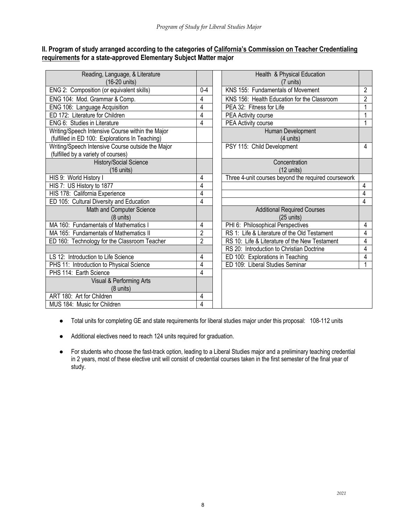# **II. Program of study arranged according to the categories of California's Commission on Teacher Credentialing requirements for a state-approved Elementary Subject Matter major**

| Reading, Language, & Literature<br>(16-20 units)                                                    |                | Health & Physical Education                                |                |
|-----------------------------------------------------------------------------------------------------|----------------|------------------------------------------------------------|----------------|
| ENG 2: Composition (or equivalent skills)                                                           | $0 - 4$        | (7 units)<br>KNS 155: Fundamentals of Movement             | $\overline{a}$ |
| ENG 104: Mod. Grammar & Comp.                                                                       | 4              | KNS 156: Health Education for the Classroom                | $\overline{a}$ |
| ENG 106: Language Acquisition                                                                       | $\overline{4}$ | PEA 32: Fitness for Life                                   |                |
| ED 172: Literature for Children                                                                     | 4              | PEA Activity course                                        | 1              |
| ENG 6: Studies in Literature                                                                        | 4              | <b>PEA Activity course</b>                                 | 1              |
| Writing/Speech Intensive Course within the Major<br>(fulfilled in ED 100: Explorations In Teaching) |                | Human Development<br>(4 units)                             |                |
| Writing/Speech Intensive Course outside the Major<br>(fulfilled by a variety of courses)            |                | PSY 115: Child Development                                 | 4              |
| History/Social Science<br>(16 units)                                                                |                | Concentration<br>$(12 \text{ units})$                      |                |
| HIS 9: World History I                                                                              | 4              | Three 4-unit courses beyond the required coursework        |                |
| HIS 7: US History to 1877                                                                           | 4              |                                                            | $\overline{4}$ |
| HIS 178: California Experience                                                                      | 4              |                                                            | $\overline{4}$ |
| ED 105: Cultural Diversity and Education                                                            | 4              |                                                            | $\overline{4}$ |
| Math and Computer Science<br>(8 units)                                                              |                | <b>Additional Required Courses</b><br>$(25 \text{ units})$ |                |
| MA 160: Fundamentals of Mathematics                                                                 | 4              | PHI 6: Philosophical Perspectives                          | 4              |
| MA 165: Fundamentals of Mathematics II                                                              | $\overline{2}$ | RS 1: Life & Literature of the Old Testament               | 4              |
| ED 160: Technology for the Classroom Teacher                                                        | $\overline{2}$ | RS 10: Life & Literature of the New Testament              | 4              |
|                                                                                                     |                | RS 20: Introduction to Christian Doctrine                  | 4              |
| LS 12: Introduction to Life Science                                                                 | 4              | ED 100: Explorations in Teaching                           | 4              |
| PHS 11: Introduction to Physical Science                                                            | 4              | ED 109: Liberal Studies Seminar                            |                |
| PHS 114: Earth Science                                                                              | 4              |                                                            |                |
| Visual & Performing Arts                                                                            |                |                                                            |                |
| (8 units)                                                                                           |                |                                                            |                |
| ART 180: Art for Children                                                                           | 4              |                                                            |                |
| MUS 184: Music for Children                                                                         | $\overline{4}$ |                                                            |                |

| Health & Physical Education<br>(7 units)            |                |
|-----------------------------------------------------|----------------|
| KNS 155: Fundamentals of Movement                   | 2              |
| KNS 156: Health Education for the Classroom         | $\overline{2}$ |
| PEA 32: Fitness for Life                            | 1              |
| <b>PEA Activity course</b>                          | 1              |
| PEA Activity course                                 | 1              |
| Human Development<br>(4 units)                      |                |
| PSY 115: Child Development                          | 4              |
| Concentration                                       |                |
| (12 units)                                          |                |
| Three 4-unit courses beyond the required coursework |                |
|                                                     | 4              |
|                                                     | 4              |
|                                                     | 4              |
| <b>Additional Required Courses</b><br>$(25$ units)  |                |
| PHI 6: Philosophical Perspectives                   | 4              |
| RS 1: Life & Literature of the Old Testament        | 4              |
| RS 10: Life & Literature of the New Testament       | 4              |
| RS 20: Introduction to Christian Doctrine           | 4              |
| ED 100: Explorations in Teaching                    | 4              |
| ED 109: Liberal Studies Seminar                     | 1              |
|                                                     |                |

- Total units for completing GE and state requirements for liberal studies major under this proposal: 108-112 units
- Additional electives need to reach 124 units required for graduation.
- For students who choose the fast-track option, leading to a Liberal Studies major and a preliminary teaching credential in 2 years, most of these elective unit will consist of credential courses taken in the first semester of the final year of study.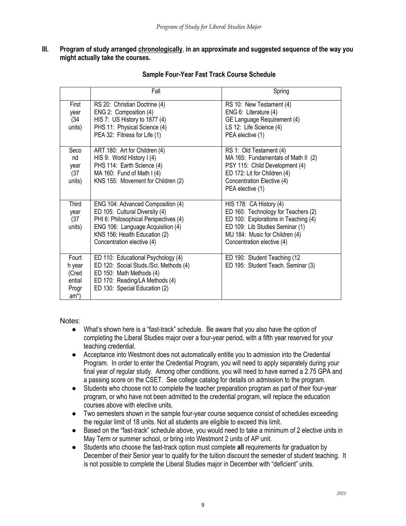#### **III. Program of study arranged chronologically**, **in an approximate and suggested sequence of the way you might actually take the courses.**

|                                                                  | Fall                                                                                                                                                                                                             | Spring                                                                                                                                                                                                    |
|------------------------------------------------------------------|------------------------------------------------------------------------------------------------------------------------------------------------------------------------------------------------------------------|-----------------------------------------------------------------------------------------------------------------------------------------------------------------------------------------------------------|
| First<br>year<br>(34)<br>units)                                  | RS 20: Christian Doctrine (4)<br>ENG 2: Composition (4)<br>HIS 7: US History to 1877 (4)<br>PHS 11: Physical Science (4)<br>PEA 32: Fitness for Life (1)                                                         | RS 10: New Testament (4)<br>ENG 6: Literature (4)<br>GE Language Requirement (4)<br>LS 12: Life Science (4)<br>PEA elective (1)                                                                           |
| Seco<br>nd<br>year<br>(37)<br>units)                             | ART 180: Art for Children (4)<br>HIS 9: World History I (4)<br>PHS 114: Earth Science (4)<br>MA 160: Fund of Math $(4)$<br>KNS 155: Movement for Children (2)                                                    | RS 1: Old Testament (4)<br>MA 165: Fundamentals of Math II (2)<br>PSY 115: Child Development (4)<br>ED 172: Lit for Children (4)<br>Concentration Elective (4)<br>PEA elective (1)                        |
| <b>Third</b><br>year<br>(37)<br>units)                           | ENG 104: Advanced Composition (4)<br>ED 105: Cultural Diversity (4)<br>PHI 6: Philosophical Perspectives (4)<br>ENG 106: Language Acquisition (4)<br>KNS 156: Health Education (2)<br>Concentration elective (4) | HIS 178: CA History (4)<br>ED 160: Technology for Teachers (2)<br>ED 100: Explorations in Teaching (4)<br>ED 109: Lib Studies Seminar (1)<br>MU 184: Music for Children (4)<br>Concentration elective (4) |
| Fourt<br>h year<br>(Cred<br>ential<br>Progr<br>am <sup>*</sup> ) | ED 110: Educational Psychology (4)<br>ED 120: Social Studs./Sci. Methods (4)<br>ED 150: Math Methods (4)<br>ED 170: Reading/LA Methods (4)<br>ED 130: Special Education (2)                                      | ED 190: Student Teaching (12<br>ED 195: Student Teach. Seminar (3)                                                                                                                                        |

# **Sample Four-Year Fast Track Course Schedule**

Notes:

- What's shown here is a "fast-track" schedule. Be aware that you also have the option of completing the Liberal Studies major over a four-year period, with a fifth year reserved for your teaching credential.
- Acceptance into Westmont does not automatically entitle you to admission into the Credential Program. In order to enter the Credential Program, you will need to apply separately during your final year of regular study. Among other conditions, you will need to have earned a 2.75 GPA and a passing score on the CSET. See college catalog for details on admission to the program.
- Students who choose not to complete the teacher preparation program as part of their four-year program, or who have not been admitted to the credential program, will replace the education courses above with elective units.
- Two semesters shown in the sample four-year course sequence consist of schedules exceeding the regular limit of 18 units. Not all students are eligible to exceed this limit.
- Based on the "fast-track" schedule above, you would need to take a minimum of 2 elective units in May Term or summer school, or bring into Westmont 2 units of AP unit.
- Students who choose the fast-track option must complete **all** requirements for graduation by December of their Senior year to qualify for the tuition discount the semester of student teaching. It is not possible to complete the Liberal Studies major in December with "deficient" units.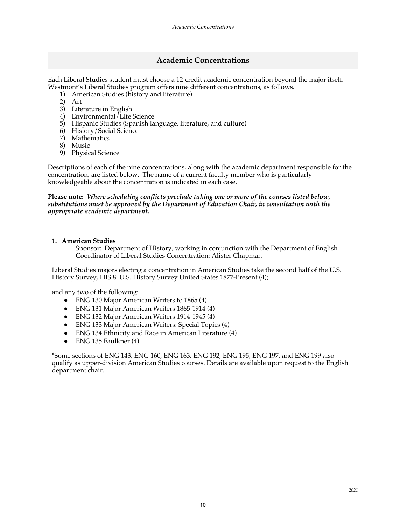# **Academic Concentrations**

Each Liberal Studies student must choose a 12-credit academic concentration beyond the major itself. Westmont's Liberal Studies program offers nine different concentrations, as follows.

- 1) American Studies (history and literature)
- 2) Art
- 3) Literature in English
- 4) Environmental/Life Science
- 5) Hispanic Studies (Spanish language, literature, and culture)
- 6) History/Social Science
- 7) Mathematics
- 8) Music
- 9) Physical Science

Descriptions of each of the nine concentrations, along with the academic department responsible for the concentration, are listed below. The name of a current faculty member who is particularly knowledgeable about the concentration is indicated in each case.

#### **Please note:** *Where scheduling conflicts preclude taking one or more of the courses listed below, substitutions must be approved by the Department of Education Chair, in consultation with the appropriate academic department.*

**1. American Studies** 

Sponsor: Department of History, working in conjunction with the Department of English Coordinator of Liberal Studies Concentration: Alister Chapman

Liberal Studies majors electing a concentration in American Studies take the second half of the U.S. History Survey, HIS 8: U.S. History Survey United States 1877-Present (4);

and <u>any two</u> of the following:

- ENG 130 Major American Writers to 1865 (4)
- ENG 131 Major American Writers 1865-1914 (4)
- ENG 132 Major American Writers 1914-1945 (4)
- **ENG 133 Major American Writers: Special Topics (4)**
- ENG 134 Ethnicity and Race in American Literature (4)
- $\bullet$  ENG 135 Faulkner (4)

\*Some sections of ENG 143, ENG 160, ENG 163, ENG 192, ENG 195, ENG 197, and ENG 199 also qualify as upper-division American Studies courses. Details are available upon request to the English department chair.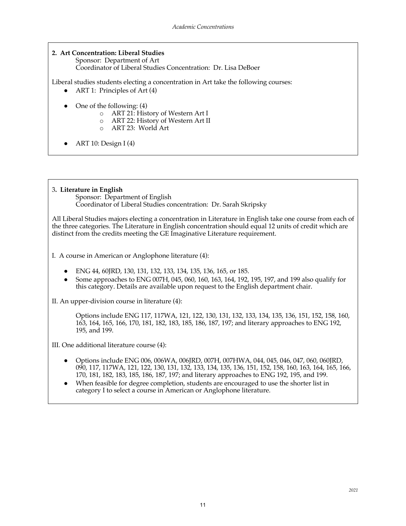# **2. Art Concentration: Liberal Studies**

Sponsor: Department of Art Coordinator of Liberal Studies Concentration: Dr. Lisa DeBoer

Liberal studies students electing a concentration in Art take the following courses:

- ART 1: Principles of Art  $(4)$
- One of the following: (4)
	- o ART 21: History of Western Art I
	- o ART 22: History of Western Art II
	- o ART 23: World Art
- ART 10: Design I (4)

#### 3**. Literature in English**

Sponsor: Department of English Coordinator of Liberal Studies concentration: Dr. Sarah Skripsky

All Liberal Studies majors electing a concentration in Literature in English take one course from each of the three categories. The Literature in English concentration should equal 12 units of credit which are distinct from the credits meeting the GE Imaginative Literature requirement.

I. A course in American or Anglophone literature (4):

- ENG 44, 60JRD, 130, 131, 132, 133, 134, 135, 136, 165, or 185.
- Some approaches to ENG 007H, 045, 060, 160, 163, 164, 192, 195, 197, and 199 also qualify for this category. Details are available upon request to the English department chair.

II. An upper-division course in literature (4):

Options include ENG 117, 117WA, 121, 122, 130, 131, 132, 133, 134, 135, 136, 151, 152, 158, 160, 163, 164, 165, 166, 170, 181, 182, 183, 185, 186, 187, 197; and literary approaches to ENG 192, 195, and 199.

III. One additional literature course (4):

- Options include ENG 006, 006WA, 006JRD, 007H, 007HWA, 044, 045, 046, 047, 060, 060JRD, 090, 117, 117WA, 121, 122, 130, 131, 132, 133, 134, 135, 136, 151, 152, 158, 160, 163, 164, 165, 166, 170, 181, 182, 183, 185, 186, 187, 197; and literary approaches to ENG 192, 195, and 199.
- When feasible for degree completion, students are encouraged to use the shorter list in category I to select a course in American or Anglophone literature.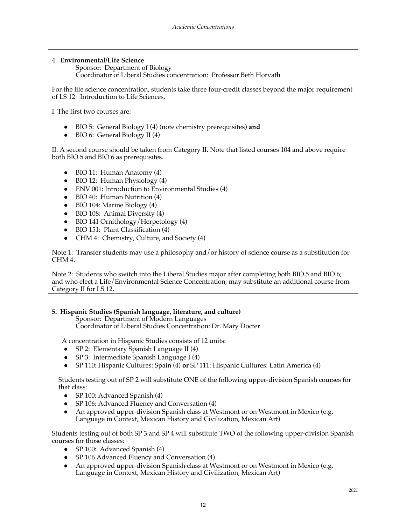#### 4. **Environmental/Life Science**

Sponsor: Department of Biology Coordinator of Liberal Studies concentration: Professor Beth Horvath

For the life science concentration, students take three four-credit classes beyond the major requirement of LS 12: Introduction to Life Sciences.

I. The first two courses are:

- BIO 5: General Biology I (4) (note chemistry prerequisites) **and**
- BIO 6: General Biology II (4)

II. A second course should be taken from Category II. Note that listed courses 104 and above require both BIO 5 and BIO 6 as prerequisites.

- $\bullet$  BIO 11: Human Anatomy (4)
- BIO 12: Human Physiology (4)
- ENV 001: Introduction to Environmental Studies (4)
- BIO 40: Human Nutrition (4)
- BIO 104: Marine Biology (4)
- BIO 108: Animal Diversity (4)
- BIO 141 Ornithology/Herpetology (4)
- BIO 151: Plant Classification (4)
- CHM 4: Chemistry, Culture, and Society (4)

Note 1: Transfer students may use a philosophy and/or history of science course as a substitution for CHM 4.

Note 2: Students who switch into the Liberal Studies major after completing both BIO 5 and BIO 6; and who elect a Life/Environmental Science Concentration, may substitute an additional course from Category II for LS 12.

#### **5. Hispanic Studies (Spanish language, literature, and culture)**

Sponsor: Department of Modern Languages Coordinator of Liberal Studies Concentration: Dr. Mary Docter

A concentration in Hispanic Studies consists of 12 units:

- SP 2: Elementary Spanish Language II (4)
- SP 3: Intermediate Spanish Language I (4)
- SP 110: Hispanic Cultures: Spain (4) **or** SP 111: Hispanic Cultures: Latin America (4)

 Students testing out of SP 2 will substitute ONE of the following upper-division Spanish courses for that class:

- SP 100: Advanced Spanish (4)
- SP 106: Advanced Fluency and Conversation (4)
- An approved upper-division Spanish class at Westmont or on Westmont in Mexico (e.g. Language in Context, Mexican History and Civilization, Mexican Art)

Students testing out of both SP 3 and SP 4 will substitute TWO of the following upper-division Spanish courses for those classes:

- SP 100: Advanced Spanish (4)
- SP 106 Advanced Fluency and Conversation (4)
- An approved upper-division Spanish class at Westmont or on Westmont in Mexico (e.g. Language in Context, Mexican History and Civilization, Mexican Art)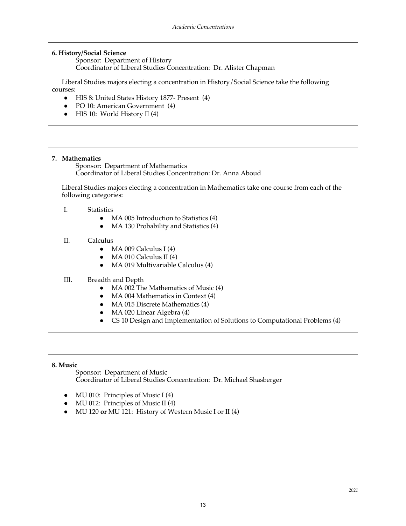#### **6. History/Social Science**

Sponsor: Department of History Coordinator of Liberal Studies Concentration: Dr. Alister Chapman

 Liberal Studies majors electing a concentration in History/Social Science take the following courses:

- HIS 8: United States History 1877- Present (4)
- PO 10: American Government (4)
- HIS 10: World History II (4)

# **7. Mathematics** Sponsor: Department of Mathematics Coordinator of Liberal Studies Concentration: Dr. Anna Aboud Liberal Studies majors electing a concentration in Mathematics take one course from each of the following categories: I. Statistics • MA 005 Introduction to Statistics (4) • MA 130 Probability and Statistics (4) II. Calculus  $\bullet$  MA 009 Calculus I (4)

- 
- $\bullet$  MA 010 Calculus II (4)
- MA 019 Multivariable Calculus (4)

#### III. Breadth and Depth

- MA 002 The Mathematics of Music (4)
- MA 004 Mathematics in Context (4)
- MA 015 Discrete Mathematics (4)
- MA 020 Linear Algebra (4)
- CS 10 Design and Implementation of Solutions to Computational Problems (4)

#### **8. Music**

Sponsor: Department of Music Coordinator of Liberal Studies Concentration: Dr. Michael Shasberger

- MU 010: Principles of Music I (4)
- $MU$  012: Principles of Music II (4)
- MU 120 **or** MU 121: History of Western Music I or II (4)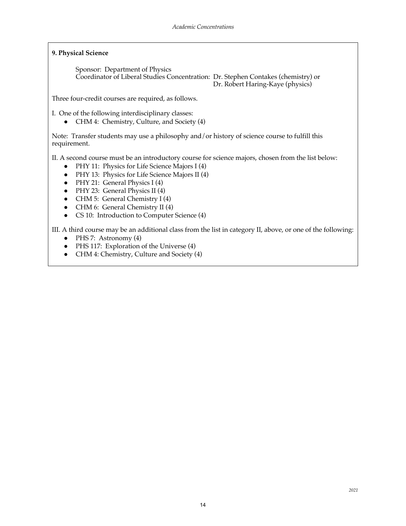#### **9. Physical Science**

Sponsor: Department of Physics Coordinator of Liberal Studies Concentration: Dr. Stephen Contakes (chemistry) or Dr. Robert Haring-Kaye (physics)

Three four-credit courses are required, as follows.

I. One of the following interdisciplinary classes:

● CHM 4: Chemistry, Culture, and Society (4)

Note: Transfer students may use a philosophy and/or history of science course to fulfill this requirement.

II. A second course must be an introductory course for science majors, chosen from the list below:

- PHY 11: Physics for Life Science Majors I (4)
- PHY 13: Physics for Life Science Majors II (4)
- PHY 21: General Physics I (4)
- PHY 23: General Physics II (4)
- CHM 5: General Chemistry I (4)
- CHM 6: General Chemistry II (4)
- CS 10: Introduction to Computer Science (4)

III. A third course may be an additional class from the list in category II, above, or one of the following:

- $\bullet$  PHS 7: Astronomy (4)
- PHS 117: Exploration of the Universe (4)
- CHM 4: Chemistry, Culture and Society (4)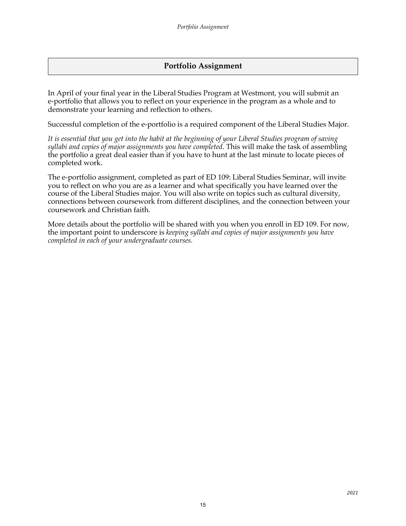# **Portfolio Assignment**

In April of your final year in the Liberal Studies Program at Westmont, you will submit an e-portfolio that allows you to reflect on your experience in the program as a whole and to demonstrate your learning and reflection to others.

Successful completion of the e-portfolio is a required component of the Liberal Studies Major.

*It is essential that you get into the habit at the beginning of your Liberal Studies program of saving syllabi and copies of major assignments you have completed*. This will make the task of assembling the portfolio a great deal easier than if you have to hunt at the last minute to locate pieces of completed work.

The e-portfolio assignment, completed as part of ED 109: Liberal Studies Seminar, will invite you to reflect on who you are as a learner and what specifically you have learned over the course of the Liberal Studies major. You will also write on topics such as cultural diversity, connections between coursework from different disciplines, and the connection between your coursework and Christian faith.

More details about the portfolio will be shared with you when you enroll in ED 109. For now, the important point to underscore is *keeping syllabi and copies of major assignments you have completed in each of your undergraduate courses.*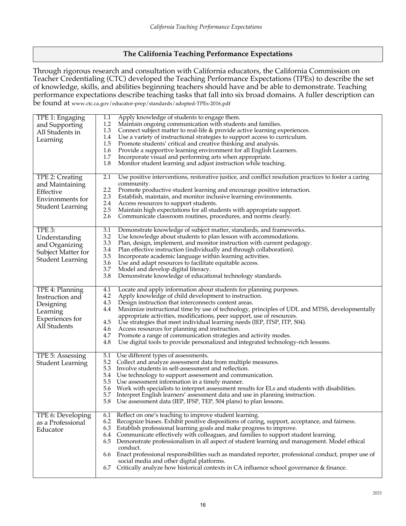# **The California Teaching Performance Expectations**

Through rigorous research and consultation with California educators, the California Commission on Teacher Credentialing (CTC) developed the Teaching Performance Expectations (TPEs) to describe the set of knowledge, skills, and abilities beginning teachers should have and be able to demonstrate. Teaching performance expectations describe teaching tasks that fall into six broad domains. A fuller description can be found at www.ctc.ca.gov/educator-prep/standards/adopted-TPEs-2016.pdf

| TPE 1: Engaging<br>and Supporting<br>All Students in<br>Learning                               | Apply knowledge of students to engage them.<br>1.1<br>1.2<br>Maintain ongoing communication with students and families.<br>1.3<br>Connect subject matter to real-life & provide active learning experiences.<br>1.4<br>Use a variety of instructional strategies to support access to curriculum.<br>1.5<br>Promote students' critical and creative thinking and analysis.<br>1.6<br>Provide a supportive learning environment for all English Learners.<br>1.7<br>Incorporate visual and performing arts when appropriate.<br>1.8<br>Monitor student learning and adjust instruction while teaching.                                                                                                                       |
|------------------------------------------------------------------------------------------------|-----------------------------------------------------------------------------------------------------------------------------------------------------------------------------------------------------------------------------------------------------------------------------------------------------------------------------------------------------------------------------------------------------------------------------------------------------------------------------------------------------------------------------------------------------------------------------------------------------------------------------------------------------------------------------------------------------------------------------|
| TPE 2: Creating<br>and Maintaining<br>Effective<br>Environments for<br><b>Student Learning</b> | Use positive interventions, restorative justice, and conflict resolution practices to foster a caring<br>2.1<br>community.<br>2.2<br>Promote productive student learning and encourage positive interaction.<br>2.3<br>Establish, maintain, and monitor inclusive learning environments.<br>2.4<br>Access resources to support students.<br>2.5<br>Maintain high expectations for all students with appropriate support.<br>2.6<br>Communicate classroom routines, procedures, and norms clearly.                                                                                                                                                                                                                           |
| TPE 3:<br>Understanding<br>and Organizing<br>Subject Matter for<br><b>Student Learning</b>     | 3.1<br>Demonstrate knowledge of subject matter, standards, and frameworks.<br>3.2<br>Use knowledge about students to plan lesson with accommodations.<br>3.3<br>Plan, design, implement, and monitor instruction with current pedagogy.<br>3.4<br>Plan effective instruction (individually and through collaboration).<br>3.5<br>Incorporate academic language within learning activities.<br>3.6<br>Use and adapt resources to facilitate equitable access.<br>3.7<br>Model and develop digital literacy.<br>3.8<br>Demonstrate knowledge of educational technology standards.                                                                                                                                             |
| TPE 4: Planning<br>Instruction and<br>Designing<br>Learning<br>Experiences for<br>All Students | 4.1<br>Locate and apply information about students for planning purposes.<br>4.2<br>Apply knowledge of child development to instruction.<br>4.3<br>Design instruction that interconnects content areas.<br>Maximize instructional time by use of technology, principles of UDL and MTSS, developmentally<br>4.4<br>appropriate activities, modifications, peer support, use of resources.<br>4.5<br>Use strategies that meet individual learning needs (IEP, ITSP, ITP, 504).<br>4.6<br>Access resources for planning and instruction.<br>4.7<br>Promote a range of communication strategies and activity modes.<br>4.8<br>Use digital tools to provide personalized and integrated technology-rich lessons.                |
| TPE 5: Assessing<br><b>Student Learning</b>                                                    | 5.1<br>Use different types of assessments.<br>5.2<br>Collect and analyze assessment data from multiple measures.<br>5.3<br>Involve students in self-assessment and reflection.<br>5.4<br>Use technology to support assessment and communication.<br>5.5<br>Use assessment information in a timely manner.<br>5.6<br>Work with specialists to interpret assessment results for ELs and students with disabilities.<br>5.7<br>Interpret English learners' assessment data and use in planning instruction.<br>Use assessment data (IEP, IFSP, TEP, 504 plans) to plan lessons.<br>5.8                                                                                                                                         |
| TPE 6: Developing<br>as a Professional<br>Educator                                             | Reflect on one's teaching to improve student learning.<br>6.1<br>Recognize biases. Exhibit positive dispositions of caring, support, acceptance, and fairness.<br>6.2<br>6.3<br>Establish professional learning goals and make progress to improve.<br>Communicate effectively with colleagues, and families to support student learning.<br>6.4<br>Demonstrate professionalism in all aspect of student learning and management. Model ethical<br>6.5<br>conduct.<br>6.6 Enact professional responsibilities such as mandated reporter, professional conduct, proper use of<br>social media and other digital platforms.<br>Critically analyze how historical contexts in CA influence school governance & finance.<br>6.7 |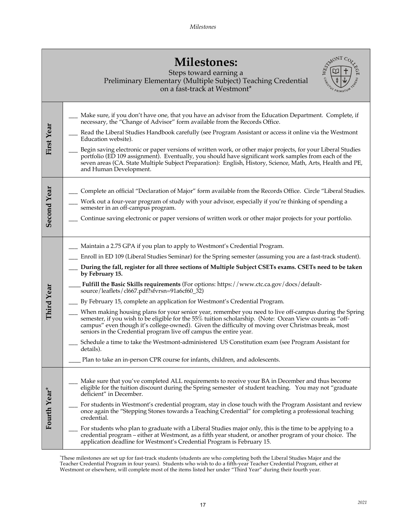| <b>Milestones:</b>                                                                                                                                                                     |  |
|----------------------------------------------------------------------------------------------------------------------------------------------------------------------------------------|--|
| Steps toward earning a<br>$\mathbb{E}[\mathbf{L}_1]$ and $\mathbf{L}_2$ are $(\mathbf{M}_1, \mathbf{L}_2]$ and $\mathbf{L}_2$ and $\mathbf{L}_3$ and $\mathbf{L}_4$ are $\mathbf{L}_5$ |  |



| Steps toward earning a                                        |
|---------------------------------------------------------------|
| Preliminary Elementary (Multiple Subject) Teaching Credential |
| on a fast-track at Westmont*                                  |

| First Year         | Make sure, if you don't have one, that you have an advisor from the Education Department. Complete, if<br>necessary, the "Change of Advisor" form available from the Records Office.<br>Read the Liberal Studies Handbook carefully (see Program Assistant or access it online via the Westmont<br>Education website).<br>Begin saving electronic or paper versions of written work, or other major projects, for your Liberal Studies<br>portfolio (ED 109 assignment). Eventually, you should have significant work samples from each of the<br>seven areas (CA. State Multiple Subject Preparation): English, History, Science, Math, Arts, Health and PE,<br>and Human Development.                                                                                                                                                                                                                                                                                                                                                                                                                                                                |
|--------------------|--------------------------------------------------------------------------------------------------------------------------------------------------------------------------------------------------------------------------------------------------------------------------------------------------------------------------------------------------------------------------------------------------------------------------------------------------------------------------------------------------------------------------------------------------------------------------------------------------------------------------------------------------------------------------------------------------------------------------------------------------------------------------------------------------------------------------------------------------------------------------------------------------------------------------------------------------------------------------------------------------------------------------------------------------------------------------------------------------------------------------------------------------------|
| <b>Second Year</b> | Complete an official "Declaration of Major" form available from the Records Office. Circle "Liberal Studies.<br>Work out a four-year program of study with your advisor, especially if you're thinking of spending a<br>semester in an off-campus program.<br>Continue saving electronic or paper versions of written work or other major projects for your portfolio.                                                                                                                                                                                                                                                                                                                                                                                                                                                                                                                                                                                                                                                                                                                                                                                 |
| Third Year         | Maintain a 2.75 GPA if you plan to apply to Westmont's Credential Program.<br>Enroll in ED 109 (Liberal Studies Seminar) for the Spring semester (assuming you are a fast-track student).<br>During the fall, register for all three sections of Multiple Subject CSETs exams. CSETs need to be taken<br>by February 15.<br>Fulfill the Basic Skills requirements (For options: https://www.ctc.ca.gov/docs/default-<br>source/leaflets/cl667.pdf?sfvrsn=91a6cf60_32)<br>By February 15, complete an application for Westmont's Credential Program.<br>When making housing plans for your senior year, remember you need to live off-campus during the Spring<br>semester, if you wish to be eligible for the 55% tuition scholarship. (Note: Ocean View counts as "off-<br>campus" even though it's college-owned). Given the difficulty of moving over Christmas break, most<br>seniors in the Credential program live off campus the entire year.<br>Schedule a time to take the Westmont-administered US Constitution exam (see Program Assistant for<br>details).<br>Plan to take an in-person CPR course for infants, children, and adolescents. |
| Fourth Year*       | Make sure that you've completed ALL requirements to receive your BA in December and thus become<br>eligible for the tuition discount during the Spring semester of student teaching. You may not "graduate<br>deficient" in December.<br>For students in Westmont's credential program, stay in close touch with the Program Assistant and review<br>once again the "Stepping Stones towards a Teaching Credential" for completing a professional teaching<br>credential.<br>For students who plan to graduate with a Liberal Studies major only, this is the time to be applying to a<br>credential program – either at Westmont, as a fifth year student, or another program of your choice. The<br>application deadline for Westmont's Credential Program is February 15.                                                                                                                                                                                                                                                                                                                                                                           |

\* These milestones are set up for fast-track students (students are who completing both the Liberal Studies Major and the Teacher Credential Program in four years). Students who wish to do a fifth-year Teacher Credential Program, either at Westmont or elsewhere, will complete most of the items listed her under "Third Year" during their fourth year.